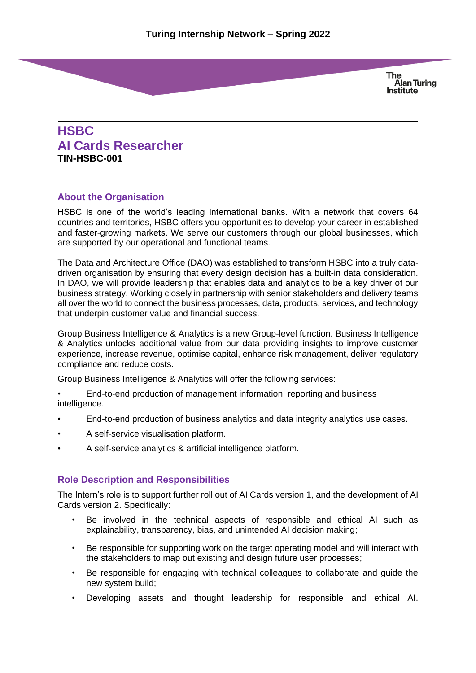# **HSBC AI Cards Researcher TIN-HSBC-001**

# **About the Organisation**

HSBC is one of the world's leading international banks. With a network that covers 64 countries and territories, HSBC offers you opportunities to develop your career in established and faster-growing markets. We serve our customers through our global businesses, which are supported by our operational and functional teams.

The Data and Architecture Office (DAO) was established to transform HSBC into a truly datadriven organisation by ensuring that every design decision has a built-in data consideration. In DAO, we will provide leadership that enables data and analytics to be a key driver of our business strategy. Working closely in partnership with senior stakeholders and delivery teams all over the world to connect the business processes, data, products, services, and technology that underpin customer value and financial success.

Group Business Intelligence & Analytics is a new Group-level function. Business Intelligence & Analytics unlocks additional value from our data providing insights to improve customer experience, increase revenue, optimise capital, enhance risk management, deliver regulatory compliance and reduce costs.

Group Business Intelligence & Analytics will offer the following services:

• End-to-end production of management information, reporting and business intelligence.

- End-to-end production of business analytics and data integrity analytics use cases.
- A self-service visualisation platform.
- A self-service analytics & artificial intelligence platform.

# **Role Description and Responsibilities**

The Intern's role is to support further roll out of AI Cards version 1, and the development of AI Cards version 2. Specifically:

- Be involved in the technical aspects of responsible and ethical AI such as explainability, transparency, bias, and unintended AI decision making;
- Be responsible for supporting work on the target operating model and will interact with the stakeholders to map out existing and design future user processes;
- Be responsible for engaging with technical colleagues to collaborate and guide the new system build;
- Developing assets and thought leadership for responsible and ethical AI.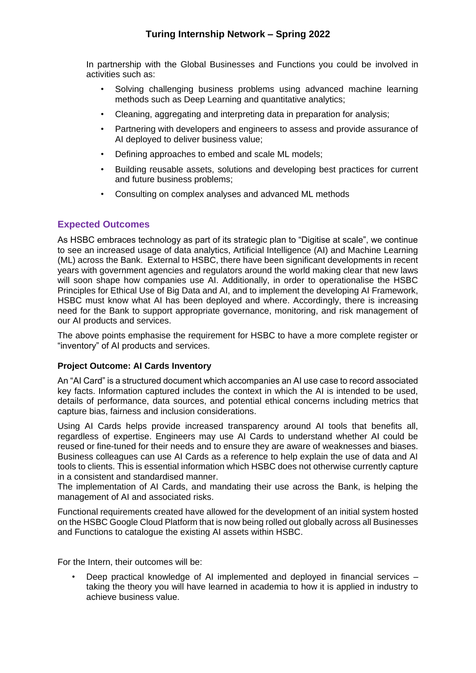In partnership with the Global Businesses and Functions you could be involved in activities such as:

- Solving challenging business problems using advanced machine learning methods such as Deep Learning and quantitative analytics;
- Cleaning, aggregating and interpreting data in preparation for analysis;
- Partnering with developers and engineers to assess and provide assurance of AI deployed to deliver business value;
- Defining approaches to embed and scale ML models;
- Building reusable assets, solutions and developing best practices for current and future business problems;
- Consulting on complex analyses and advanced ML methods

#### **Expected Outcomes**

As HSBC embraces technology as part of its strategic plan to "Digitise at scale", we continue to see an increased usage of data analytics, Artificial Intelligence (AI) and Machine Learning (ML) across the Bank. External to HSBC, there have been significant developments in recent years with government agencies and regulators around the world making clear that new laws will soon shape how companies use AI. Additionally, in order to operationalise the HSBC Principles for Ethical Use of Big Data and AI, and to implement the developing AI Framework, HSBC must know what AI has been deployed and where. Accordingly, there is increasing need for the Bank to support appropriate governance, monitoring, and risk management of our AI products and services.

The above points emphasise the requirement for HSBC to have a more complete register or "inventory" of AI products and services.

#### **Project Outcome: AI Cards Inventory**

An "AI Card" is a structured document which accompanies an AI use case to record associated key facts. Information captured includes the context in which the AI is intended to be used, details of performance, data sources, and potential ethical concerns including metrics that capture bias, fairness and inclusion considerations.

Using AI Cards helps provide increased transparency around AI tools that benefits all, regardless of expertise. Engineers may use AI Cards to understand whether AI could be reused or fine-tuned for their needs and to ensure they are aware of weaknesses and biases. Business colleagues can use AI Cards as a reference to help explain the use of data and AI tools to clients. This is essential information which HSBC does not otherwise currently capture in a consistent and standardised manner.

The implementation of AI Cards, and mandating their use across the Bank, is helping the management of AI and associated risks.

Functional requirements created have allowed for the development of an initial system hosted on the HSBC Google Cloud Platform that is now being rolled out globally across all Businesses and Functions to catalogue the existing AI assets within HSBC.

For the Intern, their outcomes will be:

• Deep practical knowledge of AI implemented and deployed in financial services – taking the theory you will have learned in academia to how it is applied in industry to achieve business value.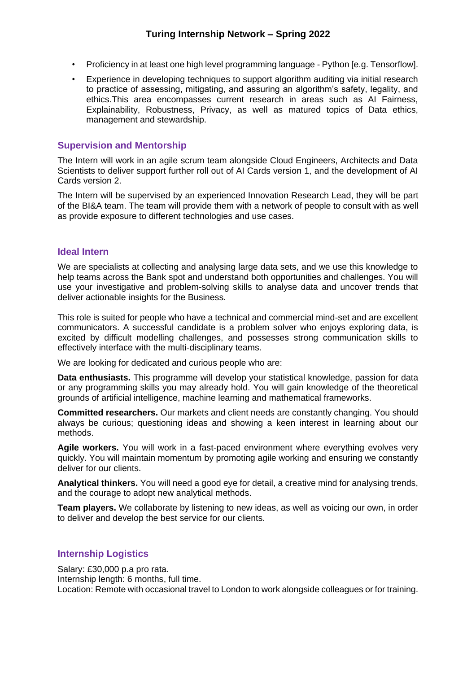- Proficiency in at least one high level programming language Python [e.g. Tensorflow].
- Experience in developing techniques to support algorithm auditing via initial research to practice of assessing, mitigating, and assuring an algorithm's safety, legality, and ethics.This area encompasses current research in areas such as AI Fairness, Explainability, Robustness, Privacy, as well as matured topics of Data ethics, management and stewardship.

# **Supervision and Mentorship**

The Intern will work in an agile scrum team alongside Cloud Engineers, Architects and Data Scientists to deliver support further roll out of AI Cards version 1, and the development of AI Cards version 2.

The Intern will be supervised by an experienced Innovation Research Lead, they will be part of the BI&A team. The team will provide them with a network of people to consult with as well as provide exposure to different technologies and use cases.

## **Ideal Intern**

We are specialists at collecting and analysing large data sets, and we use this knowledge to help teams across the Bank spot and understand both opportunities and challenges. You will use your investigative and problem-solving skills to analyse data and uncover trends that deliver actionable insights for the Business.

This role is suited for people who have a technical and commercial mind-set and are excellent communicators. A successful candidate is a problem solver who enjoys exploring data, is excited by difficult modelling challenges, and possesses strong communication skills to effectively interface with the multi-disciplinary teams.

We are looking for dedicated and curious people who are:

**Data enthusiasts.** This programme will develop your statistical knowledge, passion for data or any programming skills you may already hold. You will gain knowledge of the theoretical grounds of artificial intelligence, machine learning and mathematical frameworks.

**Committed researchers.** Our markets and client needs are constantly changing. You should always be curious; questioning ideas and showing a keen interest in learning about our methods.

**Agile workers.** You will work in a fast-paced environment where everything evolves very quickly. You will maintain momentum by promoting agile working and ensuring we constantly deliver for our clients.

**Analytical thinkers.** You will need a good eye for detail, a creative mind for analysing trends, and the courage to adopt new analytical methods.

**Team players.** We collaborate by listening to new ideas, as well as voicing our own, in order to deliver and develop the best service for our clients.

# **Internship Logistics**

Salary: £30,000 p.a pro rata. Internship length: 6 months, full time. Location: Remote with occasional travel to London to work alongside colleagues or for training.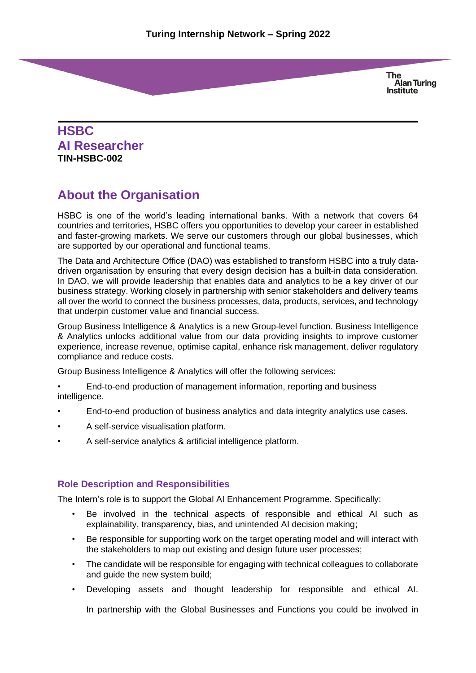# **HSBC AI Researcher TIN-HSBC-002**

# **About the Organisation**

HSBC is one of the world's leading international banks. With a network that covers 64 countries and territories, HSBC offers you opportunities to develop your career in established and faster-growing markets. We serve our customers through our global businesses, which are supported by our operational and functional teams.

The Data and Architecture Office (DAO) was established to transform HSBC into a truly datadriven organisation by ensuring that every design decision has a built-in data consideration. In DAO, we will provide leadership that enables data and analytics to be a key driver of our business strategy. Working closely in partnership with senior stakeholders and delivery teams all over the world to connect the business processes, data, products, services, and technology that underpin customer value and financial success.

Group Business Intelligence & Analytics is a new Group-level function. Business Intelligence & Analytics unlocks additional value from our data providing insights to improve customer experience, increase revenue, optimise capital, enhance risk management, deliver regulatory compliance and reduce costs.

Group Business Intelligence & Analytics will offer the following services:

- End-to-end production of management information, reporting and business intelligence.
- End-to-end production of business analytics and data integrity analytics use cases.
- A self-service visualisation platform.
- A self-service analytics & artificial intelligence platform.

# **Role Description and Responsibilities**

The Intern's role is to support the Global AI Enhancement Programme. Specifically:

- Be involved in the technical aspects of responsible and ethical AI such as explainability, transparency, bias, and unintended AI decision making;
- Be responsible for supporting work on the target operating model and will interact with the stakeholders to map out existing and design future user processes;
- The candidate will be responsible for engaging with technical colleagues to collaborate and guide the new system build;
- Developing assets and thought leadership for responsible and ethical AI.

In partnership with the Global Businesses and Functions you could be involved in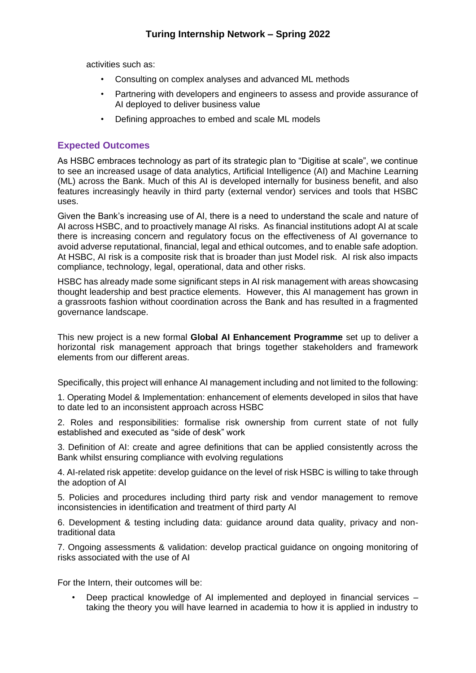activities such as:

- Consulting on complex analyses and advanced ML methods
- Partnering with developers and engineers to assess and provide assurance of AI deployed to deliver business value
- Defining approaches to embed and scale ML models

## **Expected Outcomes**

As HSBC embraces technology as part of its strategic plan to "Digitise at scale", we continue to see an increased usage of data analytics, Artificial Intelligence (AI) and Machine Learning (ML) across the Bank. Much of this AI is developed internally for business benefit, and also features increasingly heavily in third party (external vendor) services and tools that HSBC uses.

Given the Bank's increasing use of AI, there is a need to understand the scale and nature of AI across HSBC, and to proactively manage AI risks. As financial institutions adopt AI at scale there is increasing concern and regulatory focus on the effectiveness of AI governance to avoid adverse reputational, financial, legal and ethical outcomes, and to enable safe adoption. At HSBC, AI risk is a composite risk that is broader than just Model risk. AI risk also impacts compliance, technology, legal, operational, data and other risks.

HSBC has already made some significant steps in AI risk management with areas showcasing thought leadership and best practice elements. However, this AI management has grown in a grassroots fashion without coordination across the Bank and has resulted in a fragmented governance landscape.

This new project is a new formal **Global AI Enhancement Programme** set up to deliver a horizontal risk management approach that brings together stakeholders and framework elements from our different areas.

Specifically, this project will enhance AI management including and not limited to the following:

1. Operating Model & Implementation: enhancement of elements developed in silos that have to date led to an inconsistent approach across HSBC

2. Roles and responsibilities: formalise risk ownership from current state of not fully established and executed as "side of desk" work

3. Definition of AI: create and agree definitions that can be applied consistently across the Bank whilst ensuring compliance with evolving regulations

4. AI-related risk appetite: develop guidance on the level of risk HSBC is willing to take through the adoption of AI

5. Policies and procedures including third party risk and vendor management to remove inconsistencies in identification and treatment of third party AI

6. Development & testing including data: guidance around data quality, privacy and nontraditional data

7. Ongoing assessments & validation: develop practical guidance on ongoing monitoring of risks associated with the use of AI

For the Intern, their outcomes will be:

• Deep practical knowledge of AI implemented and deployed in financial services – taking the theory you will have learned in academia to how it is applied in industry to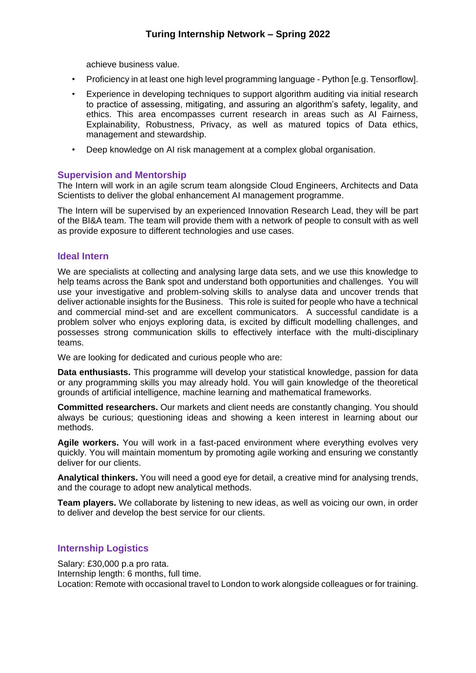achieve business value.

- Proficiency in at least one high level programming language Python [e.g. Tensorflow].
- Experience in developing techniques to support algorithm auditing via initial research to practice of assessing, mitigating, and assuring an algorithm's safety, legality, and ethics. This area encompasses current research in areas such as AI Fairness, Explainability, Robustness, Privacy, as well as matured topics of Data ethics, management and stewardship.
- Deep knowledge on AI risk management at a complex global organisation.

## **Supervision and Mentorship**

The Intern will work in an agile scrum team alongside Cloud Engineers, Architects and Data Scientists to deliver the global enhancement AI management programme.

The Intern will be supervised by an experienced Innovation Research Lead, they will be part of the BI&A team. The team will provide them with a network of people to consult with as well as provide exposure to different technologies and use cases.

#### **Ideal Intern**

We are specialists at collecting and analysing large data sets, and we use this knowledge to help teams across the Bank spot and understand both opportunities and challenges. You will use your investigative and problem-solving skills to analyse data and uncover trends that deliver actionable insights for the Business. This role is suited for people who have a technical and commercial mind-set and are excellent communicators. A successful candidate is a problem solver who enjoys exploring data, is excited by difficult modelling challenges, and possesses strong communication skills to effectively interface with the multi-disciplinary teams.

We are looking for dedicated and curious people who are:

**Data enthusiasts.** This programme will develop your statistical knowledge, passion for data or any programming skills you may already hold. You will gain knowledge of the theoretical grounds of artificial intelligence, machine learning and mathematical frameworks.

**Committed researchers.** Our markets and client needs are constantly changing. You should always be curious; questioning ideas and showing a keen interest in learning about our methods.

**Agile workers.** You will work in a fast-paced environment where everything evolves very quickly. You will maintain momentum by promoting agile working and ensuring we constantly deliver for our clients.

**Analytical thinkers.** You will need a good eye for detail, a creative mind for analysing trends, and the courage to adopt new analytical methods.

**Team players.** We collaborate by listening to new ideas, as well as voicing our own, in order to deliver and develop the best service for our clients.

# **Internship Logistics**

Salary: £30,000 p.a pro rata. Internship length: 6 months, full time. Location: Remote with occasional travel to London to work alongside colleagues or for training.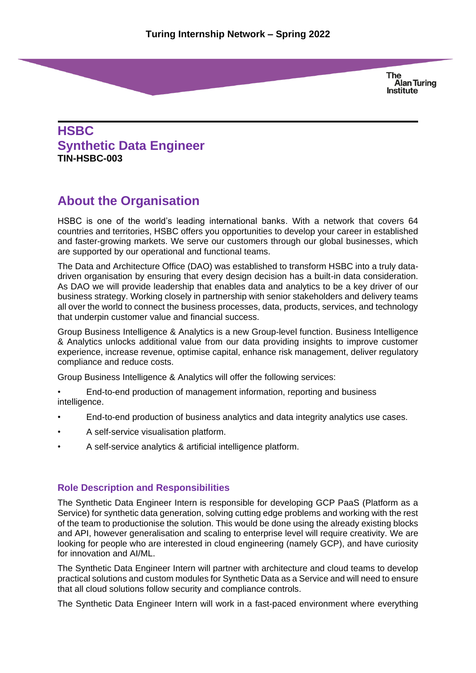# **HSBC Synthetic Data Engineer TIN-HSBC-003**

# **About the Organisation**

HSBC is one of the world's leading international banks. With a network that covers 64 countries and territories, HSBC offers you opportunities to develop your career in established and faster-growing markets. We serve our customers through our global businesses, which are supported by our operational and functional teams.

The Data and Architecture Office (DAO) was established to transform HSBC into a truly datadriven organisation by ensuring that every design decision has a built-in data consideration. As DAO we will provide leadership that enables data and analytics to be a key driver of our business strategy. Working closely in partnership with senior stakeholders and delivery teams all over the world to connect the business processes, data, products, services, and technology that underpin customer value and financial success.

Group Business Intelligence & Analytics is a new Group-level function. Business Intelligence & Analytics unlocks additional value from our data providing insights to improve customer experience, increase revenue, optimise capital, enhance risk management, deliver regulatory compliance and reduce costs.

Group Business Intelligence & Analytics will offer the following services:

• End-to-end production of management information, reporting and business intelligence.

- End-to-end production of business analytics and data integrity analytics use cases.
- A self-service visualisation platform.
- A self-service analytics & artificial intelligence platform.

#### **Role Description and Responsibilities**

The Synthetic Data Engineer Intern is responsible for developing GCP PaaS (Platform as a Service) for synthetic data generation, solving cutting edge problems and working with the rest of the team to productionise the solution. This would be done using the already existing blocks and API, however generalisation and scaling to enterprise level will require creativity. We are looking for people who are interested in cloud engineering (namely GCP), and have curiosity for innovation and AI/ML.

The Synthetic Data Engineer Intern will partner with architecture and cloud teams to develop practical solutions and custom modules for Synthetic Data as a Service and will need to ensure that all cloud solutions follow security and compliance controls.

The Synthetic Data Engineer Intern will work in a fast-paced environment where everything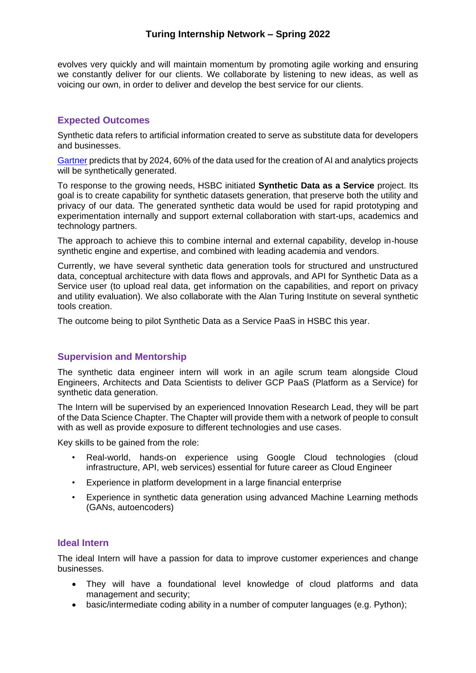# **Turing Internship Network – Spring 2022**

evolves very quickly and will maintain momentum by promoting agile working and ensuring we constantly deliver for our clients. We collaborate by listening to new ideas, as well as voicing our own, in order to deliver and develop the best service for our clients.

# **Expected Outcomes**

Synthetic data refers to artificial information created to serve as substitute data for developers and businesses.

[Gartner](https://blogs.gartner.com/andrew_white/2021/07/24/by-2024-60-of-the-data-used-for-the-development-of-ai-and-analytics-projects-will-be-synthetically-generated/) predicts that by 2024, 60% of the data used for the creation of AI and analytics projects will be synthetically generated.

To response to the growing needs, HSBC initiated **Synthetic Data as a Service** project. Its goal is to create capability for synthetic datasets generation, that preserve both the utility and privacy of our data. The generated synthetic data would be used for rapid prototyping and experimentation internally and support external collaboration with start-ups, academics and technology partners.

The approach to achieve this to combine internal and external capability, develop in-house synthetic engine and expertise, and combined with leading academia and vendors.

Currently, we have several synthetic data generation tools for structured and unstructured data, conceptual architecture with data flows and approvals, and API for Synthetic Data as a Service user (to upload real data, get information on the capabilities, and report on privacy and utility evaluation). We also collaborate with the Alan Turing Institute on several synthetic tools creation.

The outcome being to pilot Synthetic Data as a Service PaaS in HSBC this year.

#### **Supervision and Mentorship**

The synthetic data engineer intern will work in an agile scrum team alongside Cloud Engineers, Architects and Data Scientists to deliver GCP PaaS (Platform as a Service) for synthetic data generation.

The Intern will be supervised by an experienced Innovation Research Lead, they will be part of the Data Science Chapter. The Chapter will provide them with a network of people to consult with as well as provide exposure to different technologies and use cases.

Key skills to be gained from the role:

- Real-world, hands-on experience using Google Cloud technologies (cloud infrastructure, API, web services) essential for future career as Cloud Engineer
- Experience in platform development in a large financial enterprise
- Experience in synthetic data generation using advanced Machine Learning methods (GANs, autoencoders)

#### **Ideal Intern**

The ideal Intern will have a passion for data to improve customer experiences and change businesses.

- They will have a foundational level knowledge of cloud platforms and data management and security;
- basic/intermediate coding ability in a number of computer languages (e.g. Python);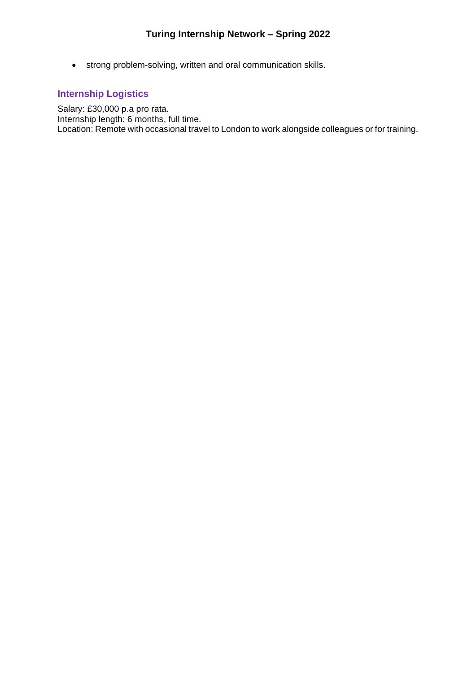• strong problem-solving, written and oral communication skills.

# **Internship Logistics**

Salary: £30,000 p.a pro rata. Internship length: 6 months, full time. Location: Remote with occasional travel to London to work alongside colleagues or for training.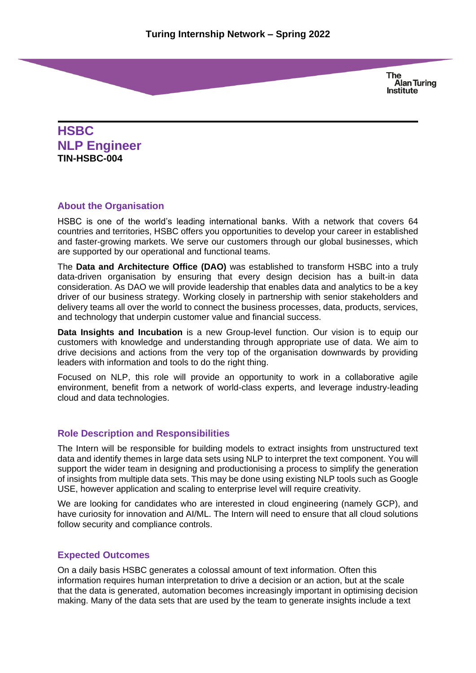**HSBC NLP Engineer TIN-HSBC-004**

## **About the Organisation**

HSBC is one of the world's leading international banks. With a network that covers 64 countries and territories, HSBC offers you opportunities to develop your career in established and faster-growing markets. We serve our customers through our global businesses, which are supported by our operational and functional teams.

The **Data and Architecture Office (DAO)** was established to transform HSBC into a truly data-driven organisation by ensuring that every design decision has a built-in data consideration. As DAO we will provide leadership that enables data and analytics to be a key driver of our business strategy. Working closely in partnership with senior stakeholders and delivery teams all over the world to connect the business processes, data, products, services, and technology that underpin customer value and financial success.

**Data Insights and Incubation** is a new Group-level function. Our vision is to equip our customers with knowledge and understanding through appropriate use of data. We aim to drive decisions and actions from the very top of the organisation downwards by providing leaders with information and tools to do the right thing.

Focused on NLP, this role will provide an opportunity to work in a collaborative agile environment, benefit from a network of world-class experts, and leverage industry-leading cloud and data technologies.

# **Role Description and Responsibilities**

The Intern will be responsible for building models to extract insights from unstructured text data and identify themes in large data sets using NLP to interpret the text component. You will support the wider team in designing and productionising a process to simplify the generation of insights from multiple data sets. This may be done using existing NLP tools such as Google USE, however application and scaling to enterprise level will require creativity.

We are looking for candidates who are interested in cloud engineering (namely GCP), and have curiosity for innovation and AI/ML. The Intern will need to ensure that all cloud solutions follow security and compliance controls.

#### **Expected Outcomes**

On a daily basis HSBC generates a colossal amount of text information. Often this information requires human interpretation to drive a decision or an action, but at the scale that the data is generated, automation becomes increasingly important in optimising decision making. Many of the data sets that are used by the team to generate insights include a text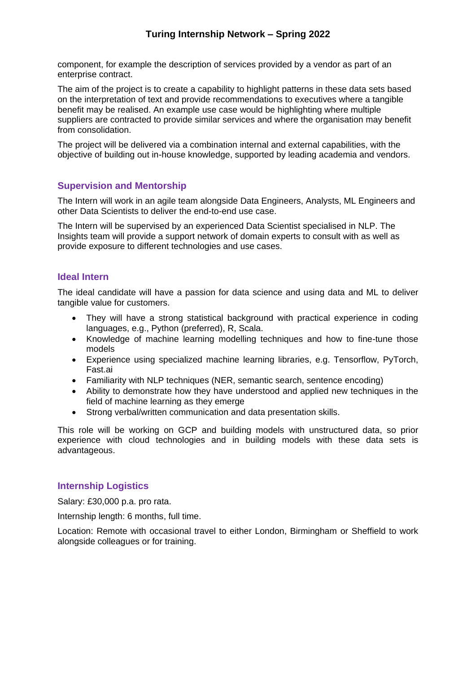component, for example the description of services provided by a vendor as part of an enterprise contract.

The aim of the project is to create a capability to highlight patterns in these data sets based on the interpretation of text and provide recommendations to executives where a tangible benefit may be realised. An example use case would be highlighting where multiple suppliers are contracted to provide similar services and where the organisation may benefit from consolidation.

The project will be delivered via a combination internal and external capabilities, with the objective of building out in-house knowledge, supported by leading academia and vendors.

## **Supervision and Mentorship**

The Intern will work in an agile team alongside Data Engineers, Analysts, ML Engineers and other Data Scientists to deliver the end-to-end use case.

The Intern will be supervised by an experienced Data Scientist specialised in NLP. The Insights team will provide a support network of domain experts to consult with as well as provide exposure to different technologies and use cases.

#### **Ideal Intern**

The ideal candidate will have a passion for data science and using data and ML to deliver tangible value for customers.

- They will have a strong statistical background with practical experience in coding languages, e.g., Python (preferred), R, Scala.
- Knowledge of machine learning modelling techniques and how to fine-tune those models
- Experience using specialized machine learning libraries, e.g. Tensorflow, PyTorch, Fast.ai
- Familiarity with NLP techniques (NER, semantic search, sentence encoding)
- Ability to demonstrate how they have understood and applied new techniques in the field of machine learning as they emerge
- Strong verbal/written communication and data presentation skills.

This role will be working on GCP and building models with unstructured data, so prior experience with cloud technologies and in building models with these data sets is advantageous.

### **Internship Logistics**

Salary: £30,000 p.a. pro rata.

Internship length: 6 months, full time.

Location: Remote with occasional travel to either London, Birmingham or Sheffield to work alongside colleagues or for training.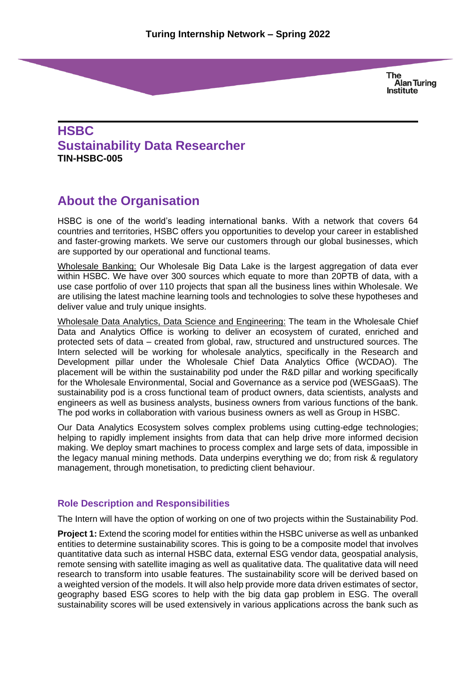# **HSBC Sustainability Data Researcher TIN-HSBC-005**

# **About the Organisation**

HSBC is one of the world's leading international banks. With a network that covers 64 countries and territories, HSBC offers you opportunities to develop your career in established and faster-growing markets. We serve our customers through our global businesses, which are supported by our operational and functional teams.

Wholesale Banking: Our Wholesale Big Data Lake is the largest aggregation of data ever within HSBC. We have over 300 sources which equate to more than 20PTB of data, with a use case portfolio of over 110 projects that span all the business lines within Wholesale. We are utilising the latest machine learning tools and technologies to solve these hypotheses and deliver value and truly unique insights.

Wholesale Data Analytics, Data Science and Engineering: The team in the Wholesale Chief Data and Analytics Office is working to deliver an ecosystem of curated, enriched and protected sets of data – created from global, raw, structured and unstructured sources. The Intern selected will be working for wholesale analytics, specifically in the Research and Development pillar under the Wholesale Chief Data Analytics Office (WCDAO). The placement will be within the sustainability pod under the R&D pillar and working specifically for the Wholesale Environmental, Social and Governance as a service pod (WESGaaS). The sustainability pod is a cross functional team of product owners, data scientists, analysts and engineers as well as business analysts, business owners from various functions of the bank. The pod works in collaboration with various business owners as well as Group in HSBC.

Our Data Analytics Ecosystem solves complex problems using cutting-edge technologies; helping to rapidly implement insights from data that can help drive more informed decision making. We deploy smart machines to process complex and large sets of data, impossible in the legacy manual mining methods. Data underpins everything we do; from risk & regulatory management, through monetisation, to predicting client behaviour.

# **Role Description and Responsibilities**

The Intern will have the option of working on one of two projects within the Sustainability Pod.

**Project 1:** Extend the scoring model for entities within the HSBC universe as well as unbanked entities to determine sustainability scores. This is going to be a composite model that involves quantitative data such as internal HSBC data, external ESG vendor data, geospatial analysis, remote sensing with satellite imaging as well as qualitative data. The qualitative data will need research to transform into usable features. The sustainability score will be derived based on a weighted version of the models. It will also help provide more data driven estimates of sector, geography based ESG scores to help with the big data gap problem in ESG. The overall sustainability scores will be used extensively in various applications across the bank such as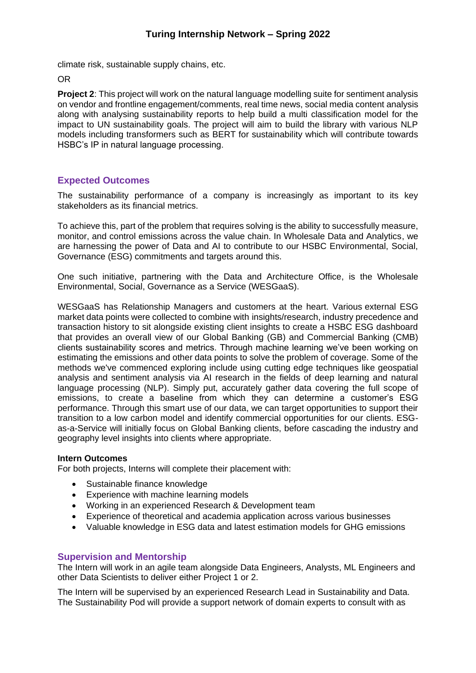climate risk, sustainable supply chains, etc.

OR

**Project 2**: This project will work on the natural language modelling suite for sentiment analysis on vendor and frontline engagement/comments, real time news, social media content analysis along with analysing sustainability reports to help build a multi classification model for the impact to UN sustainability goals. The project will aim to build the library with various NLP models including transformers such as BERT for sustainability which will contribute towards HSBC's IP in natural language processing.

## **Expected Outcomes**

The sustainability performance of a company is increasingly as important to its key stakeholders as its financial metrics.

To achieve this, part of the problem that requires solving is the ability to successfully measure, monitor, and control emissions across the value chain. In Wholesale Data and Analytics, we are harnessing the power of Data and AI to contribute to our HSBC Environmental, Social, Governance (ESG) commitments and targets around this.

One such initiative, partnering with the Data and Architecture Office, is the Wholesale Environmental, Social, Governance as a Service (WESGaaS).

WESGaaS has Relationship Managers and customers at the heart. Various external ESG market data points were collected to combine with insights/research, industry precedence and transaction history to sit alongside existing client insights to create a HSBC ESG dashboard that provides an overall view of our Global Banking (GB) and Commercial Banking (CMB) clients sustainability scores and metrics. Through machine learning we've been working on estimating the emissions and other data points to solve the problem of coverage. Some of the methods we've commenced exploring include using cutting edge techniques like geospatial analysis and sentiment analysis via AI research in the fields of deep learning and natural language processing (NLP). Simply put, accurately gather data covering the full scope of emissions, to create a baseline from which they can determine a customer's ESG performance. Through this smart use of our data, we can target opportunities to support their transition to a low carbon model and identify commercial opportunities for our clients. ESGas-a-Service will initially focus on Global Banking clients, before cascading the industry and geography level insights into clients where appropriate.

#### **Intern Outcomes**

For both projects, Interns will complete their placement with:

- Sustainable finance knowledge
- Experience with machine learning models
- Working in an experienced Research & Development team
- Experience of theoretical and academia application across various businesses
- Valuable knowledge in ESG data and latest estimation models for GHG emissions

#### **Supervision and Mentorship**

The Intern will work in an agile team alongside Data Engineers, Analysts, ML Engineers and other Data Scientists to deliver either Project 1 or 2.

The Intern will be supervised by an experienced Research Lead in Sustainability and Data. The Sustainability Pod will provide a support network of domain experts to consult with as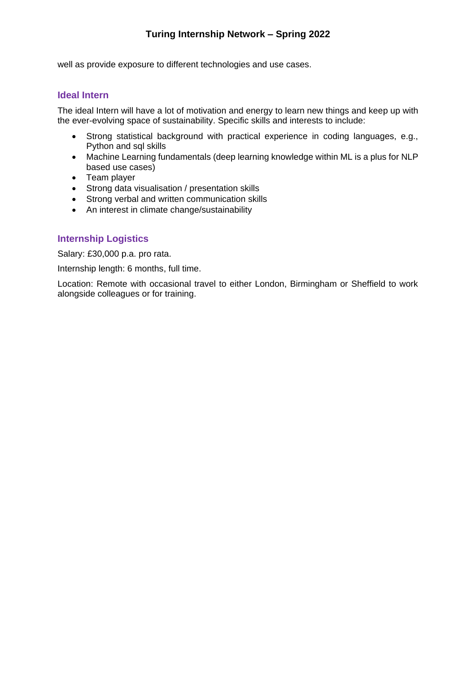# **Turing Internship Network – Spring 2022**

well as provide exposure to different technologies and use cases.

### **Ideal Intern**

The ideal Intern will have a lot of motivation and energy to learn new things and keep up with the ever-evolving space of sustainability. Specific skills and interests to include:

- Strong statistical background with practical experience in coding languages, e.g., Python and sql skills
- Machine Learning fundamentals (deep learning knowledge within ML is a plus for NLP based use cases)
- Team player
- Strong data visualisation / presentation skills
- Strong verbal and written communication skills
- An interest in climate change/sustainability

# **Internship Logistics**

Salary: £30,000 p.a. pro rata.

Internship length: 6 months, full time.

Location: Remote with occasional travel to either London, Birmingham or Sheffield to work alongside colleagues or for training.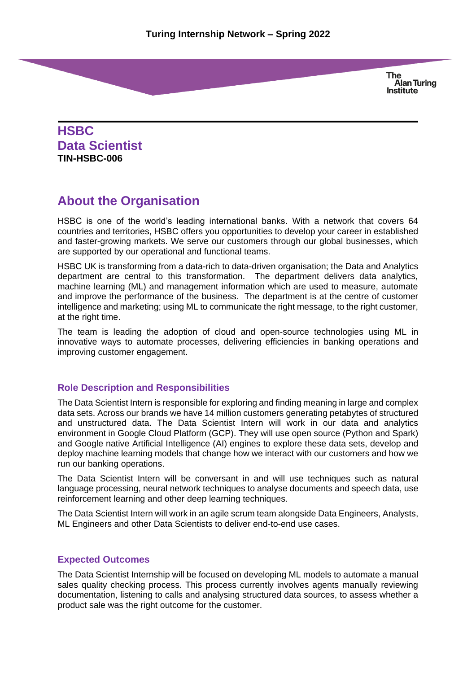**HSBC Data Scientist TIN-HSBC-006**

# **About the Organisation**

HSBC is one of the world's leading international banks. With a network that covers 64 countries and territories, HSBC offers you opportunities to develop your career in established and faster-growing markets. We serve our customers through our global businesses, which are supported by our operational and functional teams.

HSBC UK is transforming from a data-rich to data-driven organisation; the Data and Analytics department are central to this transformation. The department delivers data analytics, machine learning (ML) and management information which are used to measure, automate and improve the performance of the business. The department is at the centre of customer intelligence and marketing; using ML to communicate the right message, to the right customer, at the right time.

The team is leading the adoption of cloud and open-source technologies using ML in innovative ways to automate processes, delivering efficiencies in banking operations and improving customer engagement.

# **Role Description and Responsibilities**

The Data Scientist Intern is responsible for exploring and finding meaning in large and complex data sets. Across our brands we have 14 million customers generating petabytes of structured and unstructured data. The Data Scientist Intern will work in our data and analytics environment in Google Cloud Platform (GCP). They will use open source (Python and Spark) and Google native Artificial Intelligence (AI) engines to explore these data sets, develop and deploy machine learning models that change how we interact with our customers and how we run our banking operations.

The Data Scientist Intern will be conversant in and will use techniques such as natural language processing, neural network techniques to analyse documents and speech data, use reinforcement learning and other deep learning techniques.

The Data Scientist Intern will work in an agile scrum team alongside Data Engineers, Analysts, ML Engineers and other Data Scientists to deliver end-to-end use cases.

#### **Expected Outcomes**

The Data Scientist Internship will be focused on developing ML models to automate a manual sales quality checking process. This process currently involves agents manually reviewing documentation, listening to calls and analysing structured data sources, to assess whether a product sale was the right outcome for the customer.